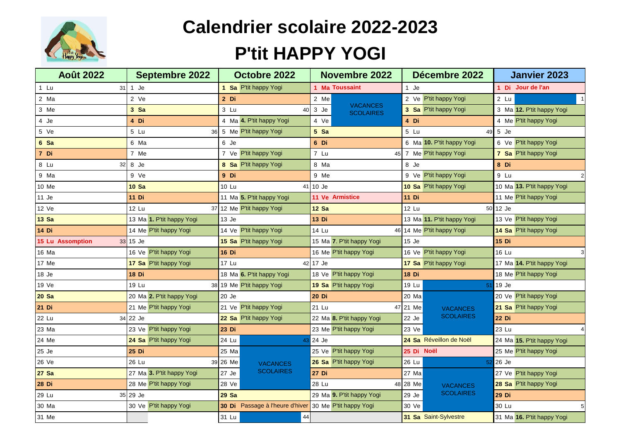

## **Calendrier scolaire 2022-2023**

## **P'tit HAPPY YOGI**

| <b>Août 2022</b>        | <b>Septembre 2022</b>     | <b>Octobre 2022</b>             | <b>Novembre 2022</b>                        | Décembre 2022               | <b>Janvier 2023</b>        |
|-------------------------|---------------------------|---------------------------------|---------------------------------------------|-----------------------------|----------------------------|
| $1$ Lu<br>31            | 1 Je                      | 1 Sa P'tit happy Yogi           | 1 Ma Toussaint                              | 1 Je                        | 1 Di Jour de l'an          |
| 2 Ma                    | 2 Ve                      | 2 Di                            | 2 Me                                        | 2 Ve P'tit happy Yogi       | 2 Lu                       |
| 3 Me                    | 3 Sa                      | 3 Lu<br>40                      | <b>VACANCES</b><br>3 Je<br><b>SCOLAIRES</b> | 3 Sa P'tit happy Yogi       | 3 Ma 12. P'tit happy Yogi  |
| 4 Je                    | 4 Di                      | 4 Ma 4. P'tit happy Yogi        | 4 Ve                                        | 4 Di                        | 4 Me P'tit happy Yogi      |
| 5 Ve                    | 5 Lu<br>36                | 5 Me P'tit happy Yogi           | 5 Sa                                        | 5 Lu<br>49                  | 5 Je                       |
| 6 Sa                    | 6 Ma                      | 6 Je                            | 6 Di                                        | 6 Ma 10. P'tit happy Yogi   | 6 Ve P'tit happy Yogi      |
| 7 Di                    | 7 Me                      | 7 Ve P'tit happy Yogi           | 7 Lu<br>45                                  | 7 Me P'tit happy Yogi       | 7 Sa P'tit happy Yogi      |
| 8 Lu<br>32              | 8 Je                      | 8 Sa P'tit happy Yogi           | 8 Ma                                        | 8 Je                        | 8 Di                       |
| 9 Ma                    | 9 Ve                      | 9 Di                            | 9 Me                                        | 9 Ve P'tit happy Yogi       | 9 Lu                       |
| 10 Me                   | <b>10 Sa</b>              | 10 Lu                           | 41 10 Je                                    | 10 Sa P'tit happy Yogi      | 10 Ma 13. P'tit happy Yogi |
| 11 Je                   | 11 Di                     | 11 Ma 5. P'tit happy Yogi       | 11 Ve Armistice                             | 11 Di                       | 11 Me P'tit happy Yogi     |
| 12 Ve                   | 12 Lu                     | 37 12 Me P'tit happy Yogi       | <b>12 Sa</b>                                | 12 Lu<br>50                 | 12 Je                      |
| <b>13 Sa</b>            | 13 Ma 1. P'tit happy Yogi | $13$ Je                         | 13 Di                                       | 13 Ma 11. P'tit happy Yogi  | 13 Ve P'tit happy Yogi     |
| 14 Di                   | 14 Me P'tit happy Yogi    | 14 Ve P'tit happy Yogi          | 14 Lu                                       | 46 14 Me P'tit happy Yogi   | 14 Sa P'tit happy Yogi     |
| <b>15 Lu Assomption</b> | 33 15 Je                  | 15 Sa P'tit happy Yogi          | 15 Ma 7. P'tit happy Yogi                   | $15$ Je                     | 15 Di                      |
| 16 Ma                   | 16 Ve P'tit happy Yogi    | <b>16 Di</b>                    | 16 Me P'tit happy Yogi                      | 16 Ve P'tit happy Yogi      | 16 Lu                      |
| 17 Me                   | 17 Sa P'tit happy Yogi    | 17 Lu                           | 42 17 Je                                    | 17 Sa P'tit happy Yogi      | 17 Ma 14. P'tit happy Yogi |
| 18 Je                   | <b>18 Di</b>              | 18 Ma 6. P'tit happy Yogi       | 18 Ve P'tit happy Yogi                      | <b>18 Di</b>                | 18 Me P'tit happy Yogi     |
| 19 Ve                   | 19 Lu                     | 38 19 Me P'tit happy Yogi       | 19 Sa P'tit happy Yogi                      | 19 Lu<br>51                 | 19 Je                      |
| <b>20 Sa</b>            | 20 Ma 2. P'tit happy Yogi | 20 Je                           | <b>20 Di</b>                                | 20 Ma                       | 20 Ve P'tit happy Yogi     |
| 21 Di                   | 21 Me P'tit happy Yogi    | 21 Ve P'tit happy Yogi          | 21 Lu                                       | 47 21 Me<br><b>VACANCES</b> | 21 Sa P'tit happy Yogi     |
| 22 Lu                   | 34 22 Je                  | 22 Sa P'tit happy Yogi          | 22 Ma 8. P'tit happy Yogi                   | <b>SCOLAIRES</b><br>22 Je   | <b>22 Di</b>               |
| 23 Ma                   | 23 Ve P'tit happy Yogi    | 23 Di                           | 23 Me P'tit happy Yogi                      | 23 Ve                       | 23 Lu                      |
| 24 Me                   | 24 Sa P'tit happy Yogi    | 24 Lu                           | 24 Je                                       | 24 Sa Réveillon de Noël     | 24 Ma 15. P'tit happy Yogi |
| 25 Je                   | 25 Di                     | 25 Ma                           | 25 Ve P'tit happy Yogi                      | 25 Di Noël                  | 25 Me P'tit happy Yogi     |
| 26 Ve                   | 26 Lu                     | 39 26 Me<br><b>VACANCES</b>     | 26 Sa P'tit happy Yogi                      | 26 Lu<br>52                 | 26 Je                      |
| <b>27 Sa</b>            | 27 Ma 3. P'tit happy Yogi | <b>SCOLAIRES</b><br>27 Je       | 27 Di                                       | 27 Ma                       | 27 Ve P'tit happy Yogi     |
| <b>28 Di</b>            | 28 Me P'tit happy Yogi    | 28 Ve                           | 28 Lu                                       | 48 28 Me<br><b>VACANCES</b> | 28 Sa P'tit happy Yogi     |
| 29 Lu<br>35             | 29 Je                     | <b>29 Sa</b>                    | 29 Ma 9. P'tit happy Yogi                   | <b>SCOLAIRES</b><br>29 Je   | 29 Di                      |
| 30 Ma                   | 30 Ve P'tit happy Yogi    | 30 Di Passage à l'heure d'hiver | 30 Me P'tit happy Yogi                      | 30 Ve                       | 30 Lu                      |
| 31 Me                   |                           | 44<br>31 Lu                     |                                             | 31 Sa Saint-Sylvestre       | 31 Ma 16. P'tit happy Yogi |